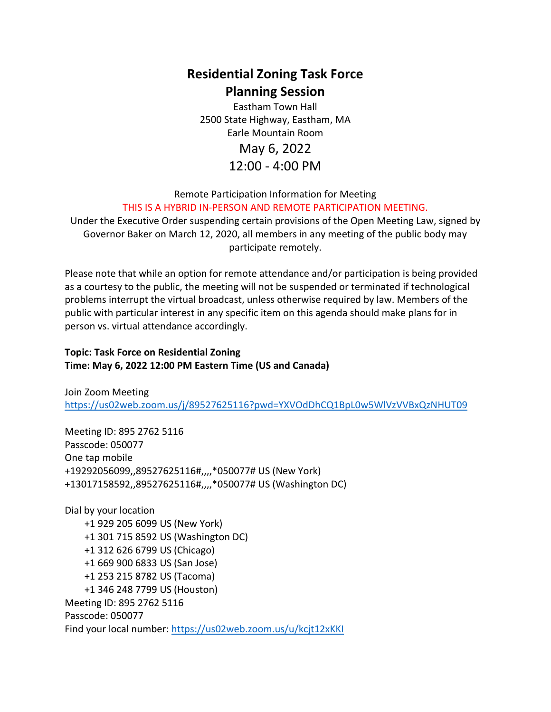## **Residential Zoning Task Force Planning Session**

Eastham Town Hall 2500 State Highway, Eastham, MA Earle Mountain Room

### May 6, 2022 12:00 - 4:00 PM

Remote Participation Information for Meeting THIS IS A HYBRID IN-PERSON AND REMOTE PARTICIPATION MEETING.

Under the Executive Order suspending certain provisions of the Open Meeting Law, signed by Governor Baker on March 12, 2020, all members in any meeting of the public body may participate remotely.

Please note that while an option for remote attendance and/or participation is being provided as a courtesy to the public, the meeting will not be suspended or terminated if technological problems interrupt the virtual broadcast, unless otherwise required by law. Members of the public with particular interest in any specific item on this agenda should make plans for in person vs. virtual attendance accordingly.

#### **Topic: Task Force on Residential Zoning Time: May 6, 2022 12:00 PM Eastern Time (US and Canada)**

Join Zoom Meeting <https://us02web.zoom.us/j/89527625116?pwd=YXVOdDhCQ1BpL0w5WlVzVVBxQzNHUT09>

Meeting ID: 895 2762 5116 Passcode: 050077 One tap mobile +19292056099,,89527625116#,,,,\*050077# US (New York) +13017158592,,89527625116#,,,,\*050077# US (Washington DC)

Dial by your location +1 929 205 6099 US (New York) +1 301 715 8592 US (Washington DC) +1 312 626 6799 US (Chicago) +1 669 900 6833 US (San Jose) +1 253 215 8782 US (Tacoma) +1 346 248 7799 US (Houston) Meeting ID: 895 2762 5116 Passcode: 050077 Find your local number:<https://us02web.zoom.us/u/kcjt12xKKI>